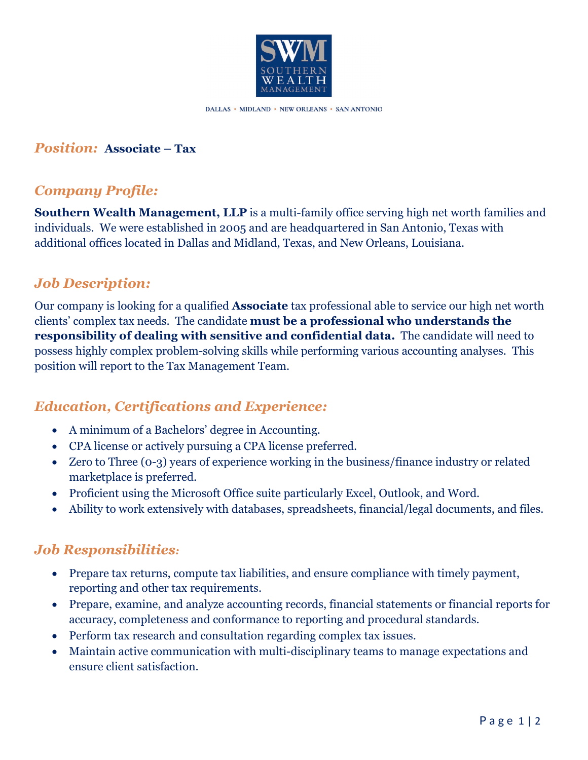

DALLAS • MIDLAND • NEW ORLEANS • SAN ANTONIO

#### *Position:* **Associate – Tax**

#### *Company Profile:*

**Southern Wealth Management, LLP** is a multi-family office serving high net worth families and individuals. We were established in 2005 and are headquartered in San Antonio, Texas with additional offices located in Dallas and Midland, Texas, and New Orleans, Louisiana.

### *Job Description:*

Our company is looking for a qualified **Associate** tax professional able to service our high net worth clients' complex tax needs. The candidate **must be a professional who understands the responsibility of dealing with sensitive and confidential data.** The candidate will need to possess highly complex problem-solving skills while performing various accounting analyses. This position will report to the Tax Management Team.

# *Education, Certifications and Experience:*

- A minimum of a Bachelors' degree in Accounting.
- CPA license or actively pursuing a CPA license preferred.
- Zero to Three (0-3) years of experience working in the business/finance industry or related marketplace is preferred.
- Proficient using the Microsoft Office suite particularly Excel, Outlook, and Word.
- Ability to work extensively with databases, spreadsheets, financial/legal documents, and files.

# *Job Responsibilities:*

- Prepare tax returns, compute tax liabilities, and ensure compliance with timely payment, reporting and other tax requirements.
- Prepare, examine, and analyze accounting records, financial statements or financial reports for accuracy, completeness and conformance to reporting and procedural standards.
- Perform tax research and consultation regarding complex tax issues.
- Maintain active communication with multi-disciplinary teams to manage expectations and ensure client satisfaction.